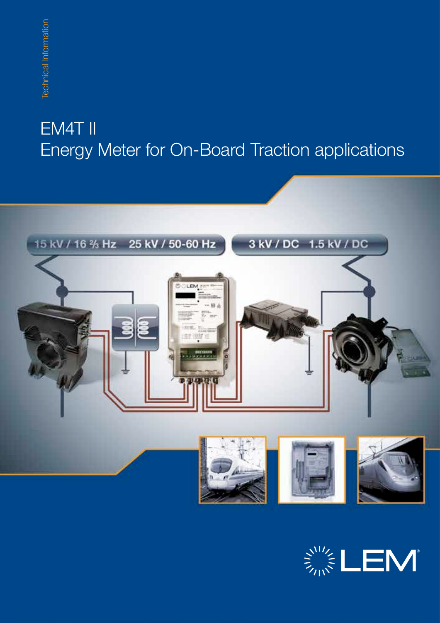# EM4T II Energy Meter for On-Board Traction applications<br>EM4T II<br>Energy Meter for On-Board Traction applications



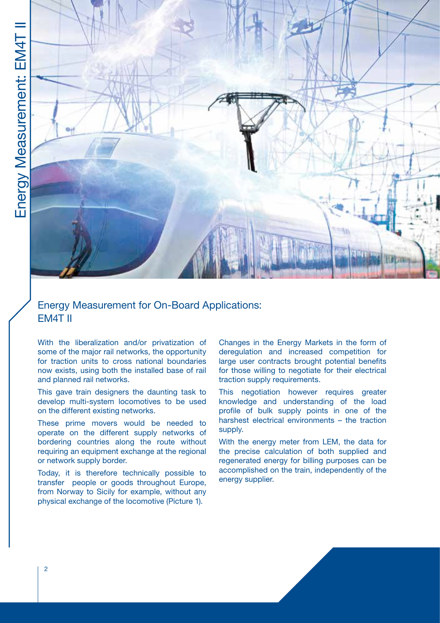

# Energy Measurement for On-Board Applications: EM4T II

With the liberalization and/or privatization of some of the major rail networks, the opportunity for traction units to cross national boundaries now exists, using both the installed base of rail and planned rail networks.

This gave train designers the daunting task to develop multi-system locomotives to be used on the different existing networks.

These prime movers would be needed to operate on the different supply networks of bordering countries along the route without requiring an equipment exchange at the regional or network supply border.

Today, it is therefore technically possible to transfer people or goods throughout Europe, from Norway to Sicily for example, without any physical exchange of the locomotive (Picture 1).

Changes in the Energy Markets in the form of deregulation and increased competition for large user contracts brought potential benefits for those willing to negotiate for their electrical traction supply requirements.

This negotiation however requires greater knowledge and understanding of the load profile of bulk supply points in one of the harshest electrical environments – the traction supply.

With the energy meter from LEM, the data for the precise calculation of both supplied and regenerated energy for billing purposes can be accomplished on the train, independently of the energy supplier.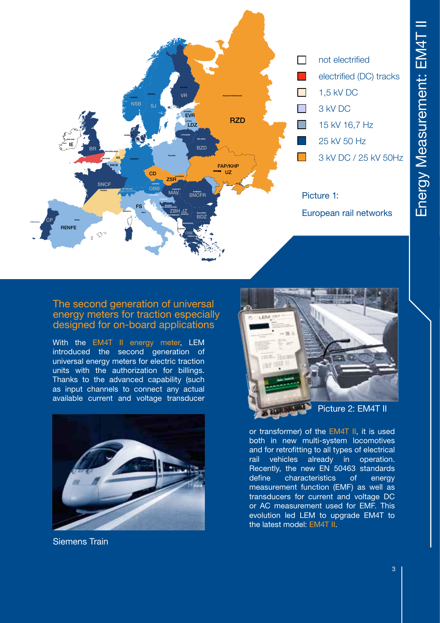

## The second generation of universal energy meters for traction especially designed for on-board applications

With the EM4T II energy meter, LEM introduced the second generation of universal energy meters for electric traction units with the authorization for billings. Thanks to the advanced capability (such as input channels to connect any actual available current and voltage transducer



Siemens Train



or transformer) of the EM4T II, it is used both in new multi-system locomotives and for retrofitting to all types of electrical rail vehicles already in operation. Recently, the new EN 50463 standards define characteristics of energy measurement function (EMF) as well as transducers for current and voltage DC or AC measurement used for EMF. This evolution led LEM to upgrade EM4T to the latest model: EM4T II.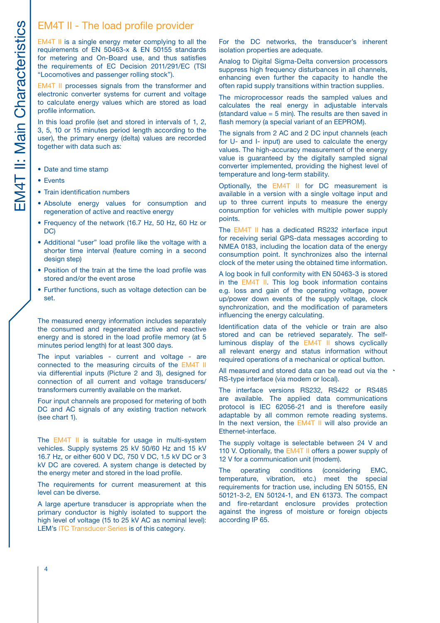EM4T II is a single energy meter complying to all the requirements of EN 50463-x & EN 50155 standards for metering and On-Board use, and thus satisfies the requirements of EC Decision 2011/291/EC (TSI "Locomotives and passenger rolling stock"). EM4T II - The load profile provider<br>
EM4T II is a single energy meter complying to all<br>
requirements of EN 50463-x & EN 50155 stand<br>
for metering and On-Board use, and thus satisf<br>
the requirements of EC Decision 2011/291/

EM4T II processes signals from the transformer and electronic converter systems for current and voltage to calculate energy values which are stored as load profile information.

In this load profile (set and stored in intervals of 1, 2, 3, 5, 10 or 15 minutes period length according to the user), the primary energy (delta) values are recorded together with data such as:

- Date and time stamp
- Events
- Train identification numbers
- Absolute energy values for consumption and regeneration of active and reactive energy
- Frequency of the network (16.7 Hz, 50 Hz, 60 Hz or DC)
- Additional "user" load profile like the voltage with a shorter time interval (feature coming in a second design step)
- Position of the train at the time the load profile was stored and/or the event arose
- Further functions, such as voltage detection can be set.

The measured energy information includes separately the consumed and regenerated active and reactive energy and is stored in the load profile memory (at 5 minutes period length) for at least 300 days.

The input variables - current and voltage - are connected to the measuring circuits of the EM4T II via differential inputs (Picture 2 and 3), designed for connection of all current and voltage transducers/ transformers currently available on the market.

Four input channels are proposed for metering of both DC and AC signals of any existing traction network (see chart 1).

The EM4T II is suitable for usage in multi-system vehicles. Supply systems 25 kV 50/60 Hz and 15 kV 16.7 Hz, or either 600 V DC, 750 V DC, 1.5 kV DC or 3 kV DC are covered. A system change is detected by the energy meter and stored in the load profile.

The requirements for current measurement at this level can be diverse.

A large aperture transducer is appropriate when the primary conductor is highly isolated to support the high level of voltage (15 to 25 kV AC as nominal level): LEM's ITC Transducer Series is of this category.

For the DC networks, the transducer's inherent isolation properties are adequate.

Analog to Digital Sigma-Delta conversion processors suppress high frequency disturbances in all channels, enhancing even further the capacity to handle the often rapid supply transitions within traction supplies.

The microprocessor reads the sampled values and calculates the real energy in adjustable intervals (standard value  $= 5$  min). The results are then saved in flash memory (a special variant of an EEPROM).

The signals from 2 AC and 2 DC input channels (each for U- and I- input) are used to calculate the energy values. The high-accuracy measurement of the energy value is guaranteed by the digitally sampled signal converter implemented, providing the highest level of temperature and long-term stability.

Optionally, the EM4T II for DC measurement is available in a version with a single voltage input and up to three current inputs to measure the energy consumption for vehicles with multiple power supply points.

The EM4T II has a dedicated RS232 interface input for receiving serial GPS-data messages according to NMEA 0183, including the location data of the energy consumption point. It synchronizes also the internal clock of the meter using the obtained time information.

A log book in full conformity with EN 50463-3 is stored in the EM4T II. This log book information contains e.g. loss and gain of the operating voltage, power up/power down events of the supply voltage, clock synchronization, and the modification of parameters influencing the energy calculating.

Identification data of the vehicle or train are also stored and can be retrieved separately. The selfluminous display of the EM4T II shows cyclically all relevant energy and status information without required operations of a mechanical or optical button.

All measured and stored data can be read out via the RS-type interface (via modem or local).

The interface versions RS232, RS422 or RS485 are available. The applied data communications protocol is IEC 62056-21 and is therefore easily adaptable by all common remote reading systems. In the next version, the EM4T II will also provide an Ethernet-interface.

The supply voltage is selectable between 24 V and 110 V. Optionally, the EM4T II offers a power supply of 12 V for a communication unit (modem).

The operating conditions (considering EMC, temperature, vibration, etc.) meet the special requirements for traction use, including EN 50155, EN 50121-3-2, EN 50124-1, and EN 61373. The compact and fire-retardant enclosure provides protection against the ingress of moisture or foreign objects according IP 65.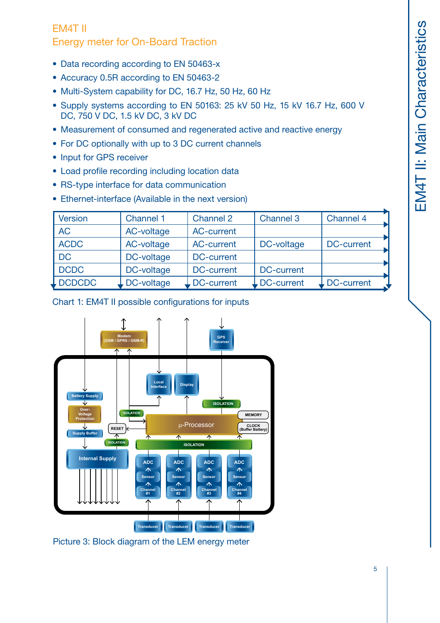# EM4T II

Energy meter for On-Board Traction

- Data recording according to EN 50463-x
- Accuracy 0.5R according to EN 50463-2
- Multi-System capability for DC, 16.7 Hz, 50 Hz, 60 Hz
- Supply systems according to EN 50163: 25 kV 50 Hz, 15 kV 16.7 Hz, 600 V DC, 750 V DC, 1.5 kV DC, 3 kV DC
- Measurement of consumed and regenerated active and reactive energy
- For DC optionally with up to 3 DC current channels
- Input for GPS receiver
- Load profile recording including location data
- RS-type interface for data communication
- Ethernet-interface (Available in the next version)

| Version     | <b>Channel 1</b> | <b>Channel 2</b>  | Channel 3                           | Channel 4               |
|-------------|------------------|-------------------|-------------------------------------|-------------------------|
| <b>AC</b>   | AC-voltage       | <b>AC-current</b> |                                     |                         |
| <b>ACDC</b> | AC-voltage       | AC-current        | DC-voltage                          | DC-current              |
| DC          | DC-voltage       | <b>DC-current</b> |                                     |                         |
| DCDC        | DC-voltage       | DC-current        | <b>DC-current</b>                   |                         |
| L DCDCDC    | DC-voltage       | DC-current        | $\overline{\phantom{a}}$ DC-current | $\downarrow$ DC-current |

Chart 1: EM4T II possible configurations for inputs



Picture 3: Block diagram of the LEM energy meter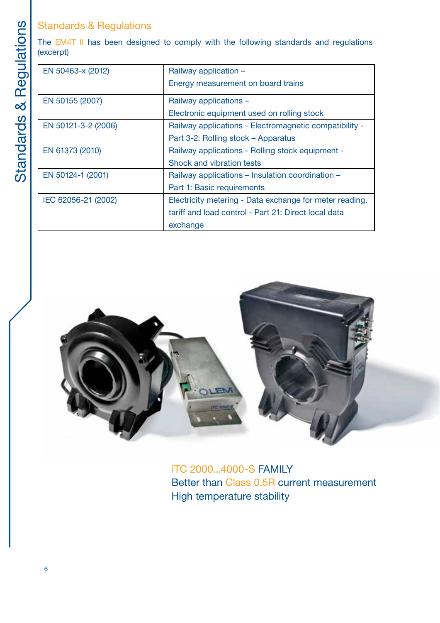|                | <b>Standards &amp; Regulations</b>                                                                |                                                         |  |  |  |
|----------------|---------------------------------------------------------------------------------------------------|---------------------------------------------------------|--|--|--|
| Regulations    | The EM4T II has been designed to comply with the following standards and regulations<br>(excerpt) |                                                         |  |  |  |
|                | EN 50463-x (2012)                                                                                 | Railway application -                                   |  |  |  |
|                |                                                                                                   | Energy measurement on board trains                      |  |  |  |
| ∞<br>Standards | EN 50155 (2007)                                                                                   | Railway applications -                                  |  |  |  |
|                |                                                                                                   | Electronic equipment used on rolling stock              |  |  |  |
|                | EN 50121-3-2 (2006)                                                                               | Railway applications - Electromagnetic compatibility -  |  |  |  |
|                |                                                                                                   | Part 3-2: Rolling stock – Apparatus                     |  |  |  |
|                | EN 61373 (2010)                                                                                   | Railway applications - Rolling stock equipment -        |  |  |  |
|                |                                                                                                   | Shock and vibration tests                               |  |  |  |
|                | EN 50124-1 (2001)                                                                                 | Railway applications – Insulation coordination –        |  |  |  |
|                |                                                                                                   | Part 1: Basic requirements                              |  |  |  |
|                | IEC 62056-21 (2002)                                                                               | Electricity metering - Data exchange for meter reading, |  |  |  |
|                |                                                                                                   | tariff and load control - Part 21: Direct local data    |  |  |  |
|                |                                                                                                   | exchange                                                |  |  |  |



ITC 2000...4000-S FAMILY Better than Class 0.5R current measurement High temperature stability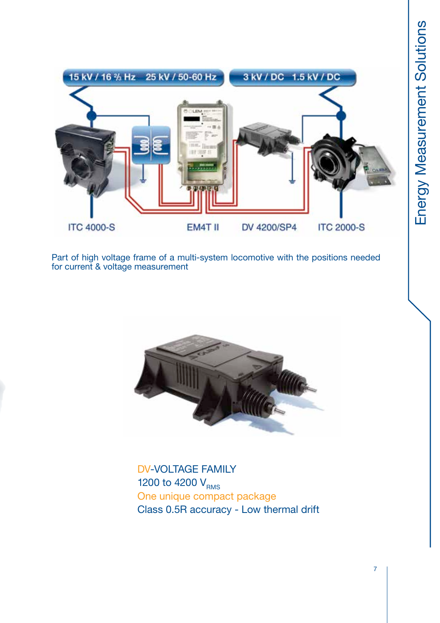

Part of high voltage frame of a multi-system locomotive with the positions needed for current & voltage measurement



DV-VOLTAGE FAMILY 1200 to 4200  $V_{RMS}$ One unique compact package Class 0.5R accuracy - Low thermal drift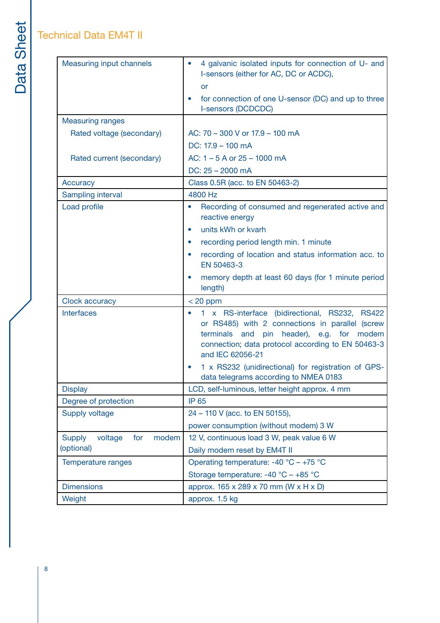# Technical Data EM4T II

| <b>Measuring input channels</b>          | 4 galvanic isolated inputs for connection of U- and<br>$\bullet$                                                                                                                                                                         |  |  |
|------------------------------------------|------------------------------------------------------------------------------------------------------------------------------------------------------------------------------------------------------------------------------------------|--|--|
|                                          | I-sensors (either for AC, DC or ACDC),                                                                                                                                                                                                   |  |  |
|                                          | or                                                                                                                                                                                                                                       |  |  |
|                                          | for connection of one U-sensor (DC) and up to three<br>I-sensors (DCDCDC)                                                                                                                                                                |  |  |
| <b>Measuring ranges</b>                  |                                                                                                                                                                                                                                          |  |  |
| Rated voltage (secondary)                | AC: 70 - 300 V or 17.9 - 100 mA                                                                                                                                                                                                          |  |  |
|                                          | DC: 17.9 - 100 mA                                                                                                                                                                                                                        |  |  |
| Rated current (secondary)                | AC: $1 - 5$ A or $25 - 1000$ mA                                                                                                                                                                                                          |  |  |
|                                          | $DC: 25 - 2000$ mA                                                                                                                                                                                                                       |  |  |
| <b>Accuracy</b>                          | Class 0.5R (acc. to EN 50463-2)                                                                                                                                                                                                          |  |  |
| Sampling interval                        | 4800 Hz                                                                                                                                                                                                                                  |  |  |
| Load profile                             | Recording of consumed and regenerated active and<br>$\bullet$<br>reactive energy                                                                                                                                                         |  |  |
|                                          | units kWh or kvarh<br>$\bullet$                                                                                                                                                                                                          |  |  |
|                                          | recording period length min. 1 minute<br>$\bullet$                                                                                                                                                                                       |  |  |
|                                          | recording of location and status information acc. to<br>$\bullet$<br>EN 50463-3                                                                                                                                                          |  |  |
|                                          | memory depth at least 60 days (for 1 minute period<br>$\bullet$<br>length)                                                                                                                                                               |  |  |
| Clock accuracy                           | $< 20$ ppm                                                                                                                                                                                                                               |  |  |
| <b>Interfaces</b>                        | 1 x RS-interface (bidirectional, RS232, RS422<br>or RS485) with 2 connections in parallel (screw<br>terminals<br>header),<br>and<br>pin<br>e.g.<br>for<br>modem<br>connection; data protocol according to EN 50463-3<br>and IEC 62056-21 |  |  |
|                                          | 1 x RS232 (unidirectional) for registration of GPS-<br>$\bullet$<br>data telegrams according to NMEA 0183                                                                                                                                |  |  |
| <b>Display</b>                           | LCD, self-luminous, letter height approx. 4 mm                                                                                                                                                                                           |  |  |
| Degree of protection                     | <b>IP 65</b>                                                                                                                                                                                                                             |  |  |
| <b>Supply voltage</b>                    | 24 - 110 V (acc. to EN 50155),                                                                                                                                                                                                           |  |  |
|                                          | power consumption (without modem) 3 W                                                                                                                                                                                                    |  |  |
| <b>Supply</b><br>voltage<br>for<br>modem | 12 V, continuous load 3 W, peak value 6 W                                                                                                                                                                                                |  |  |
| (optional)                               | Daily modem reset by EM4T II                                                                                                                                                                                                             |  |  |
| Temperature ranges                       | Operating temperature: $-40$ °C $- +75$ °C                                                                                                                                                                                               |  |  |
|                                          | Storage temperature: -40 $^{\circ}$ C - +85 $^{\circ}$ C                                                                                                                                                                                 |  |  |
| <b>Dimensions</b>                        | approx. 165 x 289 x 70 mm (W x H x D)                                                                                                                                                                                                    |  |  |
| Weight                                   | approx. 1.5 kg                                                                                                                                                                                                                           |  |  |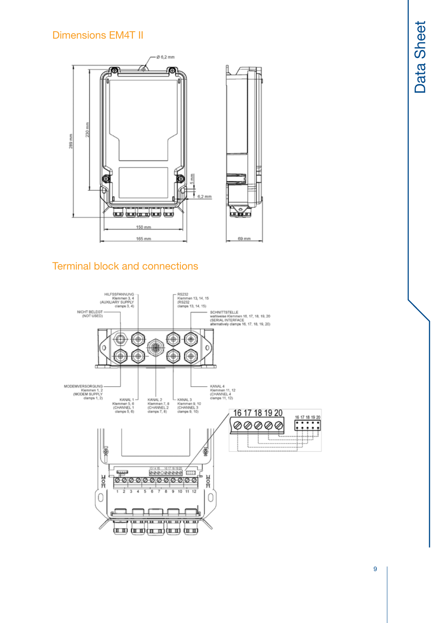# Dimensions EM4T II



# Terminal block and connections

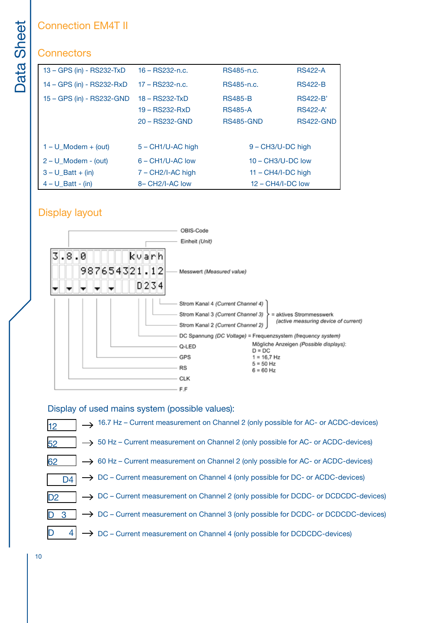# **Connectors**

| <b>Sheet</b> | <b>Connection EM4T II</b> |                                                                                                   |                     |                     |  |  |  |
|--------------|---------------------------|---------------------------------------------------------------------------------------------------|---------------------|---------------------|--|--|--|
|              | <b>Connectors</b>         |                                                                                                   |                     |                     |  |  |  |
| Data         | 13 - GPS (in) - RS232-TxD | $16 - RS232 - n.c.$                                                                               | RS485-n.c.          | <b>RS422-A</b>      |  |  |  |
|              | 14 – GPS (in) - RS232-RxD | 17 - RS232-n.c.                                                                                   | RS485-n.c.          | <b>RS422-B</b>      |  |  |  |
|              | 15 - GPS (in) - RS232-GND | $18 - RS232-TxD$                                                                                  | <b>RS485-B</b>      | <b>RS422-B</b>      |  |  |  |
|              |                           | 19 – RS232-RxD                                                                                    | <b>RS485-A</b>      | <b>RS422-A'</b>     |  |  |  |
|              |                           | 20 - RS232-GND                                                                                    | <b>RS485-GND</b>    | <b>RS422-GND</b>    |  |  |  |
|              | $1 - U$ Modem + (out)     | $5 - CH1/U-AC$ high                                                                               |                     | $9 - CH3/U-DC$ high |  |  |  |
|              | $2 - U$ Modem - (out)     | $6 - CH1/U-AC$ low                                                                                | $10 - CH3/U-DC$ low |                     |  |  |  |
|              | $3 - U$ Batt + (in)       | $7 - CH2/I-AC$ high<br>$11 - CH4/I-DC$ high<br>8-CH <sub>2</sub> /I-AC low<br>$12 - CH4/I-DC$ low |                     |                     |  |  |  |
|              | $4 - U$ _Batt - (in)      |                                                                                                   |                     |                     |  |  |  |

# Display layout



### Display of used mains system (possible values):



10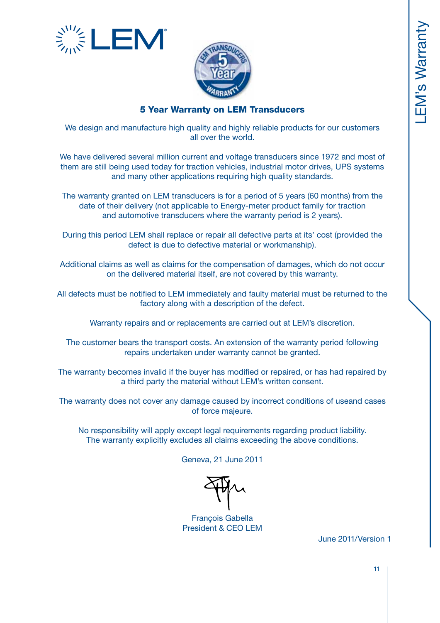



## 5 Year Warranty on LEM Transducers

We design and manufacture high quality and highly reliable products for our customers all over the world.

We have delivered several million current and voltage transducers since 1972 and most of them are still being used today for traction vehicles, industrial motor drives, UPS systems and many other applications requiring high quality standards.

The warranty granted on LEM transducers is for a period of 5 years (60 months) from the date of their delivery (not applicable to Energy-meter product family for traction and automotive transducers where the warranty period is 2 years).

During this period LEM shall replace or repair all defective parts at its' cost (provided the defect is due to defective material or workmanship).

Additional claims as well as claims for the compensation of damages, which do not occur on the delivered material itself, are not covered by this warranty.

All defects must be notified to LEM immediately and faulty material must be returned to the factory along with a description of the defect.

Warranty repairs and or replacements are carried out at LEM's discretion.

The customer bears the transport costs. An extension of the warranty period following repairs undertaken under warranty cannot be granted.

The warranty becomes invalid if the buyer has modified or repaired, or has had repaired by a third party the material without LEM's written consent.

The warranty does not cover any damage caused by incorrect conditions of useand cases of force majeure.

No responsibility will apply except legal requirements regarding product liability. The warranty explicitly excludes all claims exceeding the above conditions.

Geneva, 21 June 2011

François Gabella President & CEO LEM

June 2011/Version 1